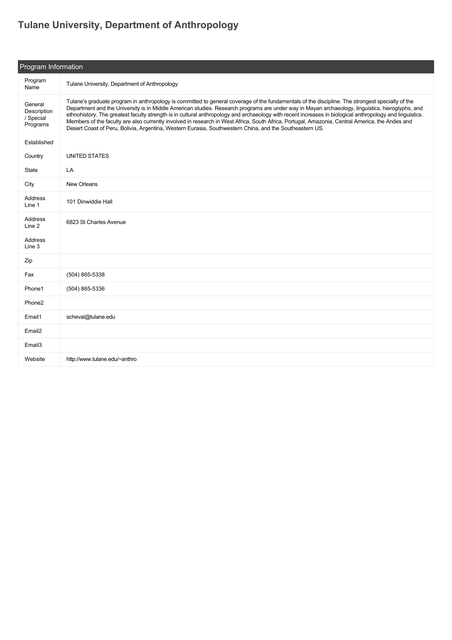## **[Tulane University, Department of Anthropology](https://guide.americananthro.org/345/Tulane-University-Department-of-Anthropology)**

| Program Information                             |                                                                                                                                                                                                                                                                                                                                                                                                                                                                                                                                                                                                                                                                                                                                 |  |  |
|-------------------------------------------------|---------------------------------------------------------------------------------------------------------------------------------------------------------------------------------------------------------------------------------------------------------------------------------------------------------------------------------------------------------------------------------------------------------------------------------------------------------------------------------------------------------------------------------------------------------------------------------------------------------------------------------------------------------------------------------------------------------------------------------|--|--|
| Program<br>Name                                 | Tulane University, Department of Anthropology                                                                                                                                                                                                                                                                                                                                                                                                                                                                                                                                                                                                                                                                                   |  |  |
| General<br>Description<br>/ Special<br>Programs | Tulane's graduate program in anthropology is committed to general coverage of the fundamentals of the discipline. The strongest specialty of the<br>Department and the University is in Middle American studies. Research programs are under way in Mayan archaeology, linguistics, hieroglyphs, and<br>ethnohistory. The greatest faculty strength is in cultural anthropology and archaeology with recent increases in biological anthropology and linguistics.<br>Members of the faculty are also currently involved in research in West Africa, South Africa, Portugal, Amazonia, Central America, the Andes and<br>Desert Coast of Peru, Bolivia, Argentina, Western Eurasia, Southwestern China, and the Southeastern US. |  |  |
| Established                                     |                                                                                                                                                                                                                                                                                                                                                                                                                                                                                                                                                                                                                                                                                                                                 |  |  |
| Country                                         | <b>UNITED STATES</b>                                                                                                                                                                                                                                                                                                                                                                                                                                                                                                                                                                                                                                                                                                            |  |  |
| State                                           | LA                                                                                                                                                                                                                                                                                                                                                                                                                                                                                                                                                                                                                                                                                                                              |  |  |
| City                                            | New Orleans                                                                                                                                                                                                                                                                                                                                                                                                                                                                                                                                                                                                                                                                                                                     |  |  |
| Address<br>Line 1                               | 101 Dinwiddie Hall                                                                                                                                                                                                                                                                                                                                                                                                                                                                                                                                                                                                                                                                                                              |  |  |
| Address<br>Line 2                               | 6823 St Charles Avenue                                                                                                                                                                                                                                                                                                                                                                                                                                                                                                                                                                                                                                                                                                          |  |  |
| Address<br>Line 3                               |                                                                                                                                                                                                                                                                                                                                                                                                                                                                                                                                                                                                                                                                                                                                 |  |  |
| Zip                                             |                                                                                                                                                                                                                                                                                                                                                                                                                                                                                                                                                                                                                                                                                                                                 |  |  |
| Fax                                             | (504) 865-5338                                                                                                                                                                                                                                                                                                                                                                                                                                                                                                                                                                                                                                                                                                                  |  |  |
| Phone1                                          | (504) 865-5336                                                                                                                                                                                                                                                                                                                                                                                                                                                                                                                                                                                                                                                                                                                  |  |  |
| Phone2                                          |                                                                                                                                                                                                                                                                                                                                                                                                                                                                                                                                                                                                                                                                                                                                 |  |  |
| Email1                                          | scheval@tulane.edu                                                                                                                                                                                                                                                                                                                                                                                                                                                                                                                                                                                                                                                                                                              |  |  |
| Email <sub>2</sub>                              |                                                                                                                                                                                                                                                                                                                                                                                                                                                                                                                                                                                                                                                                                                                                 |  |  |
| Email3                                          |                                                                                                                                                                                                                                                                                                                                                                                                                                                                                                                                                                                                                                                                                                                                 |  |  |
| Website                                         | http://www.tulane.edu/~anthro                                                                                                                                                                                                                                                                                                                                                                                                                                                                                                                                                                                                                                                                                                   |  |  |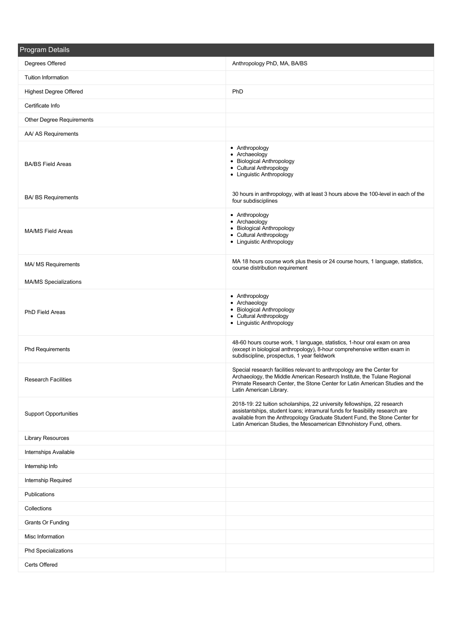| <b>Program Details</b>        |                                                                                                                                                                                                                                                                                                                |
|-------------------------------|----------------------------------------------------------------------------------------------------------------------------------------------------------------------------------------------------------------------------------------------------------------------------------------------------------------|
| Degrees Offered               | Anthropology PhD, MA, BA/BS                                                                                                                                                                                                                                                                                    |
| <b>Tuition Information</b>    |                                                                                                                                                                                                                                                                                                                |
| <b>Highest Degree Offered</b> | PhD                                                                                                                                                                                                                                                                                                            |
| Certificate Info              |                                                                                                                                                                                                                                                                                                                |
| Other Degree Requirements     |                                                                                                                                                                                                                                                                                                                |
| AA/ AS Requirements           |                                                                                                                                                                                                                                                                                                                |
| <b>BA/BS Field Areas</b>      | • Anthropology<br>• Archaeology<br>• Biological Anthropology<br>• Cultural Anthropology<br>• Linguistic Anthropology                                                                                                                                                                                           |
| <b>BA/ BS Requirements</b>    | 30 hours in anthropology, with at least 3 hours above the 100-level in each of the<br>four subdisciplines                                                                                                                                                                                                      |
| <b>MA/MS Field Areas</b>      | • Anthropology<br>• Archaeology<br>• Biological Anthropology<br>• Cultural Anthropology<br>• Linguistic Anthropology                                                                                                                                                                                           |
| MA/ MS Requirements           | MA 18 hours course work plus thesis or 24 course hours, 1 language, statistics,<br>course distribution requirement                                                                                                                                                                                             |
| <b>MA/MS Specializations</b>  |                                                                                                                                                                                                                                                                                                                |
| PhD Field Areas               | • Anthropology<br>• Archaeology<br>• Biological Anthropology<br>• Cultural Anthropology<br>• Linguistic Anthropology                                                                                                                                                                                           |
| <b>Phd Requirements</b>       | 48-60 hours course work, 1 language, statistics, 1-hour oral exam on area<br>(except in biological anthropology), 8-hour comprehensive written exam in<br>subdiscipline, prospectus, 1 year fieldwork                                                                                                          |
| <b>Research Facilities</b>    | Special research facilities relevant to anthropology are the Center for<br>Archaeology, the Middle American Research Institute, the Tulane Regional<br>Primate Research Center, the Stone Center for Latin American Studies and the<br>Latin American Library.                                                 |
| <b>Support Opportunities</b>  | 2018-19: 22 tuition scholarships, 22 university fellowships, 22 research<br>assistantships, student loans; intramural funds for feasibility research are<br>available from the Anthropology Graduate Student Fund, the Stone Center for<br>Latin American Studies, the Mesoamerican Ethnohistory Fund, others. |
| <b>Library Resources</b>      |                                                                                                                                                                                                                                                                                                                |
| Internships Available         |                                                                                                                                                                                                                                                                                                                |
| Internship Info               |                                                                                                                                                                                                                                                                                                                |
| Internship Required           |                                                                                                                                                                                                                                                                                                                |
| Publications                  |                                                                                                                                                                                                                                                                                                                |
| Collections                   |                                                                                                                                                                                                                                                                                                                |
| Grants Or Funding             |                                                                                                                                                                                                                                                                                                                |
| Misc Information              |                                                                                                                                                                                                                                                                                                                |
| <b>Phd Specializations</b>    |                                                                                                                                                                                                                                                                                                                |
| Certs Offered                 |                                                                                                                                                                                                                                                                                                                |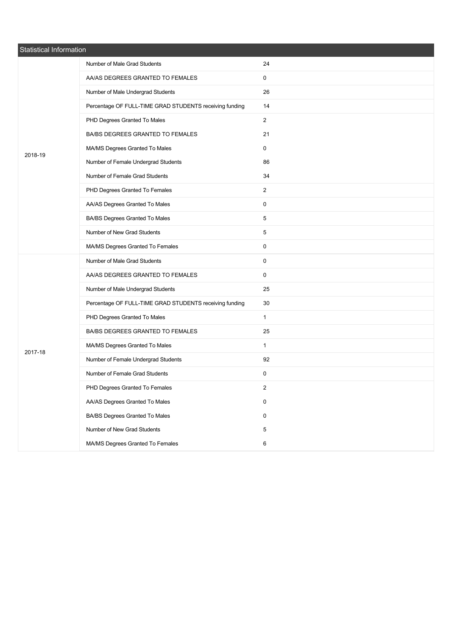| Statistical Information |                                                         |                         |  |  |
|-------------------------|---------------------------------------------------------|-------------------------|--|--|
|                         | Number of Male Grad Students                            | 24                      |  |  |
|                         | AA/AS DEGREES GRANTED TO FEMALES                        | 0                       |  |  |
|                         | Number of Male Undergrad Students                       | 26                      |  |  |
|                         | Percentage OF FULL-TIME GRAD STUDENTS receiving funding | 14                      |  |  |
|                         | PHD Degrees Granted To Males                            | $\overline{2}$          |  |  |
|                         | BA/BS DEGREES GRANTED TO FEMALES                        | 21                      |  |  |
| 2018-19                 | MA/MS Degrees Granted To Males                          | 0                       |  |  |
|                         | Number of Female Undergrad Students                     | 86                      |  |  |
|                         | Number of Female Grad Students                          | 34                      |  |  |
|                         | PHD Degrees Granted To Females                          | $\overline{2}$          |  |  |
|                         | AA/AS Degrees Granted To Males                          | 0                       |  |  |
|                         | BA/BS Degrees Granted To Males                          | 5                       |  |  |
|                         | Number of New Grad Students                             | 5                       |  |  |
|                         | MA/MS Degrees Granted To Females                        | 0                       |  |  |
|                         | Number of Male Grad Students                            | 0                       |  |  |
|                         | AA/AS DEGREES GRANTED TO FEMALES                        | 0                       |  |  |
|                         | Number of Male Undergrad Students                       | 25                      |  |  |
|                         | Percentage OF FULL-TIME GRAD STUDENTS receiving funding | 30                      |  |  |
|                         | PHD Degrees Granted To Males                            | $\mathbf{1}$            |  |  |
|                         | BA/BS DEGREES GRANTED TO FEMALES                        | 25                      |  |  |
| 2017-18                 | MA/MS Degrees Granted To Males                          | $\mathbf{1}$            |  |  |
|                         | Number of Female Undergrad Students                     | 92                      |  |  |
|                         | Number of Female Grad Students                          | 0                       |  |  |
|                         | PHD Degrees Granted To Females                          | $\overline{\mathbf{c}}$ |  |  |
|                         | AA/AS Degrees Granted To Males                          | 0                       |  |  |
|                         | BA/BS Degrees Granted To Males                          | 0                       |  |  |
|                         | Number of New Grad Students                             | 5                       |  |  |
|                         | MA/MS Degrees Granted To Females                        | 6                       |  |  |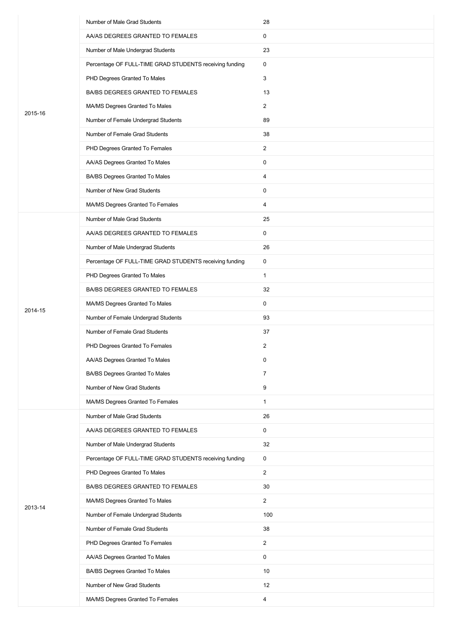|         | Number of Male Grad Students                            | 28             |
|---------|---------------------------------------------------------|----------------|
|         | AA/AS DEGREES GRANTED TO FEMALES                        | 0              |
|         | Number of Male Undergrad Students                       | 23             |
|         | Percentage OF FULL-TIME GRAD STUDENTS receiving funding | 0              |
|         | PHD Degrees Granted To Males                            | 3              |
|         | BA/BS DEGREES GRANTED TO FEMALES                        | 13             |
| 2015-16 | MA/MS Degrees Granted To Males                          | $\overline{2}$ |
|         | Number of Female Undergrad Students                     | 89             |
|         | Number of Female Grad Students                          | 38             |
|         | PHD Degrees Granted To Females                          | $\overline{2}$ |
|         | AA/AS Degrees Granted To Males                          | 0              |
|         | BA/BS Degrees Granted To Males                          | 4              |
|         | Number of New Grad Students                             | 0              |
|         | MA/MS Degrees Granted To Females                        | 4              |
|         | Number of Male Grad Students                            | 25             |
|         | AA/AS DEGREES GRANTED TO FEMALES                        | 0              |
|         | Number of Male Undergrad Students                       | 26             |
|         | Percentage OF FULL-TIME GRAD STUDENTS receiving funding | $\mathsf{O}$   |
|         | PHD Degrees Granted To Males                            | $\mathbf{1}$   |
|         | BA/BS DEGREES GRANTED TO FEMALES                        | 32             |
| 2014-15 | MA/MS Degrees Granted To Males                          | 0              |
|         | Number of Female Undergrad Students                     | 93             |
|         | Number of Female Grad Students                          | 37             |
|         | PHD Degrees Granted To Females                          | $\overline{2}$ |
|         | AA/AS Degrees Granted To Males                          | 0              |
|         | BA/BS Degrees Granted To Males                          | $\overline{7}$ |
|         | Number of New Grad Students                             | 9              |
|         | MA/MS Degrees Granted To Females                        | $\mathbf{1}$   |
|         | Number of Male Grad Students                            | 26             |
|         | AA/AS DEGREES GRANTED TO FEMALES                        | 0              |
|         | Number of Male Undergrad Students                       | 32             |
|         | Percentage OF FULL-TIME GRAD STUDENTS receiving funding | $\mathsf{O}$   |
|         | PHD Degrees Granted To Males                            | $\overline{2}$ |
|         | BA/BS DEGREES GRANTED TO FEMALES                        | 30             |
| 2013-14 | MA/MS Degrees Granted To Males                          | $\mathbf{2}$   |
|         | Number of Female Undergrad Students                     | 100            |
|         | Number of Female Grad Students                          | 38             |
|         | PHD Degrees Granted To Females                          | $\overline{2}$ |
|         | AA/AS Degrees Granted To Males                          | 0              |
|         | BA/BS Degrees Granted To Males                          | 10             |
|         | Number of New Grad Students                             | 12             |
|         | MA/MS Degrees Granted To Females                        | $\overline{4}$ |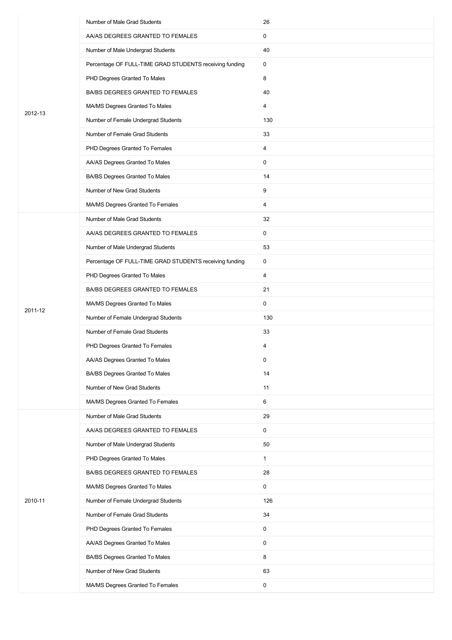|         | Number of Male Grad Students                            | 26           |
|---------|---------------------------------------------------------|--------------|
|         | AA/AS DEGREES GRANTED TO FEMALES                        | 0            |
|         | Number of Male Undergrad Students                       | 40           |
|         | Percentage OF FULL-TIME GRAD STUDENTS receiving funding | 0            |
|         | PHD Degrees Granted To Males                            | 8            |
|         | BA/BS DEGREES GRANTED TO FEMALES                        | 40           |
|         | MA/MS Degrees Granted To Males                          | 4            |
| 2012-13 | Number of Female Undergrad Students                     | 130          |
|         | Number of Female Grad Students                          | 33           |
|         | PHD Degrees Granted To Females                          | 4            |
|         | AA/AS Degrees Granted To Males                          | $\mathbf 0$  |
|         | BA/BS Degrees Granted To Males                          | 14           |
|         | Number of New Grad Students                             | 9            |
|         | MA/MS Degrees Granted To Females                        | 4            |
|         | Number of Male Grad Students                            | 32           |
|         | AA/AS DEGREES GRANTED TO FEMALES                        | 0            |
|         | Number of Male Undergrad Students                       | 53           |
|         | Percentage OF FULL-TIME GRAD STUDENTS receiving funding | 0            |
|         | PHD Degrees Granted To Males                            | 4            |
|         | BA/BS DEGREES GRANTED TO FEMALES                        | 21           |
| 2011-12 | MA/MS Degrees Granted To Males                          | 0            |
|         | Number of Female Undergrad Students                     | 130          |
|         | Number of Female Grad Students                          | 33           |
|         | PHD Degrees Granted To Females                          | 4            |
|         | AA/AS Degrees Granted To Males                          | 0            |
|         | BA/BS Degrees Granted To Males                          | 14           |
|         | Number of New Grad Students                             | 11           |
|         | MA/MS Degrees Granted To Females                        | 6            |
|         | Number of Male Grad Students                            | 29           |
|         | AA/AS DEGREES GRANTED TO FEMALES                        | 0            |
|         | Number of Male Undergrad Students                       | 50           |
|         | PHD Degrees Granted To Males                            | $\mathbf{1}$ |
|         | BA/BS DEGREES GRANTED TO FEMALES                        | 28           |
|         | MA/MS Degrees Granted To Males                          | 0            |
| 2010-11 | Number of Female Undergrad Students                     | 126          |
|         | Number of Female Grad Students                          | 34           |
|         | PHD Degrees Granted To Females                          | 0            |
|         | AA/AS Degrees Granted To Males                          | 0            |
|         | BA/BS Degrees Granted To Males                          | 8            |
|         | Number of New Grad Students                             | 63           |
|         | MA/MS Degrees Granted To Females                        | $\mathsf{O}$ |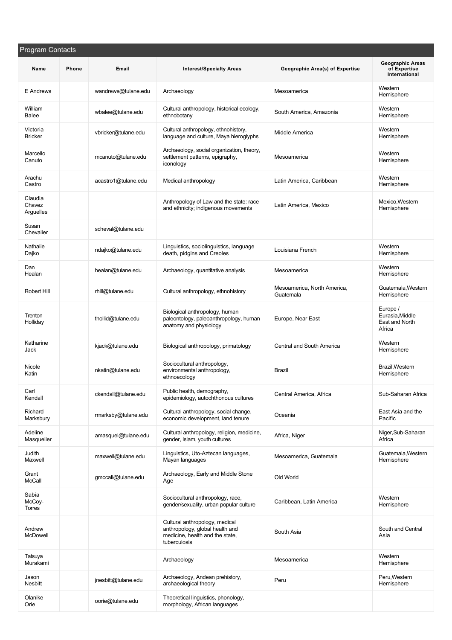| <b>Program Contacts</b>        |       |                     |                                                                                                                      |                                          |                                                          |
|--------------------------------|-------|---------------------|----------------------------------------------------------------------------------------------------------------------|------------------------------------------|----------------------------------------------------------|
| Name                           | Phone | Email               | <b>Interest/Specialty Areas</b>                                                                                      | Geographic Area(s) of Expertise          | <b>Geographic Areas</b><br>of Expertise<br>International |
| E Andrews                      |       | wandrews@tulane.edu | Archaeology                                                                                                          | Mesoamerica                              | Western<br>Hemisphere                                    |
| William<br>Balee               |       | wbalee@tulane.edu   | Cultural anthropology, historical ecology,<br>ethnobotany                                                            | South America, Amazonia                  | Western<br>Hemisphere                                    |
| Victoria<br><b>Bricker</b>     |       | vbricker@tulane.edu | Cultural anthropology, ethnohistory,<br>language and culture, Maya hieroglyphs                                       | Middle America                           | Western<br>Hemisphere                                    |
| Marcello<br>Canuto             |       | mcanuto@tulane.edu  | Archaeology, social organization, theory,<br>settlement patterns, epigraphy,<br>iconology                            | Mesoamerica                              | Western<br>Hemisphere                                    |
| Arachu<br>Castro               |       | acastro1@tulane.edu | Medical anthropology                                                                                                 | Latin America, Caribbean                 | Western<br>Hemisphere                                    |
| Claudia<br>Chavez<br>Arguelles |       |                     | Anthropology of Law and the state: race<br>and ethnicity; indigenous movements                                       | Latin America, Mexico                    | Mexico.Western<br>Hemisphere                             |
| Susan<br>Chevalier             |       | scheval@tulane.edu  |                                                                                                                      |                                          |                                                          |
| Nathalie<br>Dajko              |       | ndajko@tulane.edu   | Linguistics, sociolinguistics, language<br>death, pidgins and Creoles                                                | Louisiana French                         | Western<br>Hemisphere                                    |
| Dan<br>Healan                  |       | healan@tulane.edu   | Archaeology, quantitative analysis                                                                                   | Mesoamerica                              | Western<br>Hemisphere                                    |
| Robert Hill                    |       | rhill@tulane.edu    | Cultural anthropology, ethnohistory                                                                                  | Mesoamerica, North America,<br>Guatemala | Guatemala, Western<br>Hemisphere                         |
| Trenton<br>Holliday            |       | thollid@tulane.edu  | Biological anthropology, human<br>paleontology, paleoanthropology, human<br>anatomy and physiology                   | Europe, Near East                        | Europe /<br>Eurasia, Middle<br>East and North<br>Africa  |
| Katharine<br>Jack              |       | kjack@tulane.edu    | Biological anthropology, primatology                                                                                 | Central and South America                | Western<br>Hemisphere                                    |
| Nicole<br>Katin                |       | nkatin@tulane.edu   | Sociocultural anthropology,<br>environmental anthropology,<br>ethnoecology                                           | Brazil                                   | Brazil, Western<br>Hemisphere                            |
| Carl<br>Kendall                |       | ckendall@tulane.edu | Public health, demography,<br>epidemiology, autochthonous cultures                                                   | Central America, Africa                  | Sub-Saharan Africa                                       |
| Richard<br>Marksbury           |       | rmarksby@tulane.edu | Cultural anthropology, social change,<br>economic development, land tenure                                           | Oceania                                  | East Asia and the<br>Pacific                             |
| Adeline<br>Masquelier          |       | amasquel@tulane.edu | Cultural anthropology, religion, medicine,<br>gender, Islam, youth cultures                                          | Africa, Niger                            | Niger, Sub-Saharan<br>Africa                             |
| Judith<br>Maxwell              |       | maxwell@tulane.edu  | Linguistics, Uto-Aztecan languages,<br>Mayan languages                                                               | Mesoamerica, Guatemala                   | Guatemala, Western<br>Hemisphere                         |
| Grant<br>McCall                |       | gmccall@tulane.edu  | Archaeology, Early and Middle Stone<br>Age                                                                           | Old World                                |                                                          |
| Sabia<br>McCoy-<br>Torres      |       |                     | Sociocultural anthropology, race,<br>gender/sexuality, urban popular culture                                         | Caribbean, Latin America                 | Western<br>Hemisphere                                    |
| Andrew<br><b>McDowell</b>      |       |                     | Cultural anthropology, medical<br>anthropology, global health and<br>medicine, health and the state,<br>tuberculosis | South Asia                               | South and Central<br>Asia                                |
| Tatsuya<br>Murakami            |       |                     | Archaeology                                                                                                          | Mesoamerica                              | Western<br>Hemisphere                                    |
| Jason<br>Nesbitt               |       | jnesbitt@tulane.edu | Archaeology, Andean prehistory,<br>archaeological theory                                                             | Peru                                     | Peru, Western<br>Hemisphere                              |
| Olanike<br>Orie                |       | oorie@tulane.edu    | Theoretical linguistics, phonology,<br>morphology, African languages                                                 |                                          |                                                          |